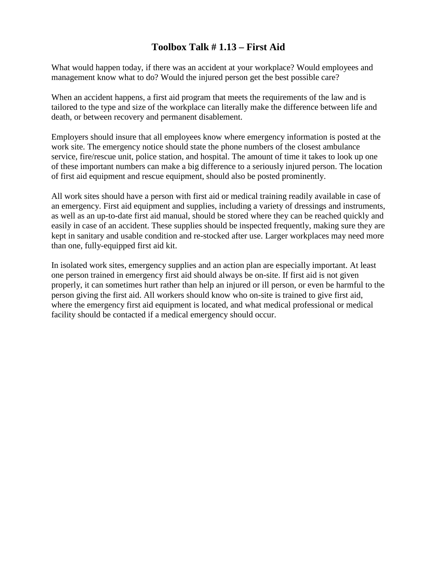## **Toolbox Talk # 1.13 – First Aid**

What would happen today, if there was an accident at your workplace? Would employees and management know what to do? Would the injured person get the best possible care?

When an accident happens, a first aid program that meets the requirements of the law and is tailored to the type and size of the workplace can literally make the difference between life and death, or between recovery and permanent disablement.

Employers should insure that all employees know where emergency information is posted at the work site. The emergency notice should state the phone numbers of the closest ambulance service, fire/rescue unit, police station, and hospital. The amount of time it takes to look up one of these important numbers can make a big difference to a seriously injured person. The location of first aid equipment and rescue equipment, should also be posted prominently.

All work sites should have a person with first aid or medical training readily available in case of an emergency. First aid equipment and supplies, including a variety of dressings and instruments, as well as an up-to-date first aid manual, should be stored where they can be reached quickly and easily in case of an accident. These supplies should be inspected frequently, making sure they are kept in sanitary and usable condition and re-stocked after use. Larger workplaces may need more than one, fully-equipped first aid kit.

In isolated work sites, emergency supplies and an action plan are especially important. At least one person trained in emergency first aid should always be on-site. If first aid is not given properly, it can sometimes hurt rather than help an injured or ill person, or even be harmful to the person giving the first aid. All workers should know who on-site is trained to give first aid, where the emergency first aid equipment is located, and what medical professional or medical facility should be contacted if a medical emergency should occur.